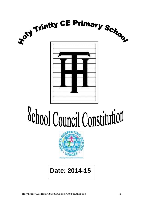

# School Council Constitution



# **Date: 2014-15**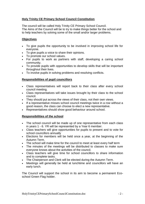# **Holy Trinity CE Primary School Council Constitution**

The council will be called Holy Trinity CE Primary School Council. The Aims of the Council will be to try to make things better for the school and to help teachers by solving some of the small and/or larger problems.

### **Objectives**

- To give pupils the opportunity to be involved in improving school life for everyone.
- To give pupils a voice to share their opinions.
- To promote our school values.
- For pupils to work as partners with staff, developing a caring school community.
- To provide pupils with opportunities to develop skills that will be important throughout their lives.
- To involve pupils in solving problems and resolving conflicts.

# **Responsibilities of pupil councillors**

- Class representatives will report back to their class after every school council meeting.
- Class representatives will take issues brought by their class to the school council.
- They should put across the views of their class, not their own views.
- If a representative misses school council meetings twice in a row without a good reason, the class can choose to elect a new representative.
- Representatives should show good behaviour around school.

### **Responsibilities of the school**

- The school council will be made up of one representative from each class in years 1 - 6. YR will be represented by a Year 6 member.
- Class teachers will give opportunities for pupils to present and to vote for school councillors annually
- Elections for members will be held once a year, at the beginning of the Autumn Term.
- The school will make time for the council to meet at least every half term
- The minutes of the meetings will be distributed to classes to make sure everyone knows about the activities of the council.
- Class teachers will give time for school councillors to share information and to complete tasks.
- The Chairperson and Clerk will be elected during the Autumn Term.
- Meetings will generally be held at lunchtime and councillors will have an early lunch.

The Council will support the school in its aim to become a permanent Ecoschool Green Flag holder.